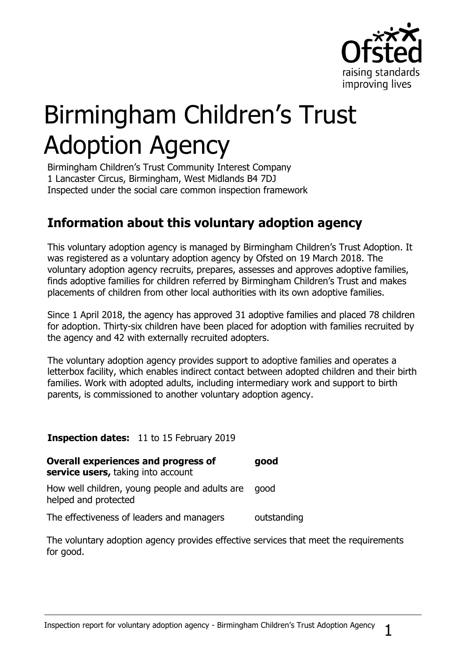

# Birmingham Children's Trust Adoption Agency

Birmingham Children's Trust Community Interest Company 1 Lancaster Circus, Birmingham, West Midlands B4 7DJ Inspected under the social care common inspection framework

## **Information about this voluntary adoption agency**

This voluntary adoption agency is managed by Birmingham Children's Trust Adoption. It was registered as a voluntary adoption agency by Ofsted on 19 March 2018. The voluntary adoption agency recruits, prepares, assesses and approves adoptive families, finds adoptive families for children referred by Birmingham Children's Trust and makes placements of children from other local authorities with its own adoptive families.

Since 1 April 2018, the agency has approved 31 adoptive families and placed 78 children for adoption. Thirty-six children have been placed for adoption with families recruited by the agency and 42 with externally recruited adopters.

The voluntary adoption agency provides support to adoptive families and operates a letterbox facility, which enables indirect contact between adopted children and their birth families. Work with adopted adults, including intermediary work and support to birth parents, is commissioned to another voluntary adoption agency.

#### **Inspection dates:** 11 to 15 February 2019

| <b>Overall experiences and progress of</b><br>service users, taking into account | good        |
|----------------------------------------------------------------------------------|-------------|
| How well children, young people and adults are<br>helped and protected           | good        |
| The effectiveness of leaders and managers                                        | outstanding |

The voluntary adoption agency provides effective services that meet the requirements for good.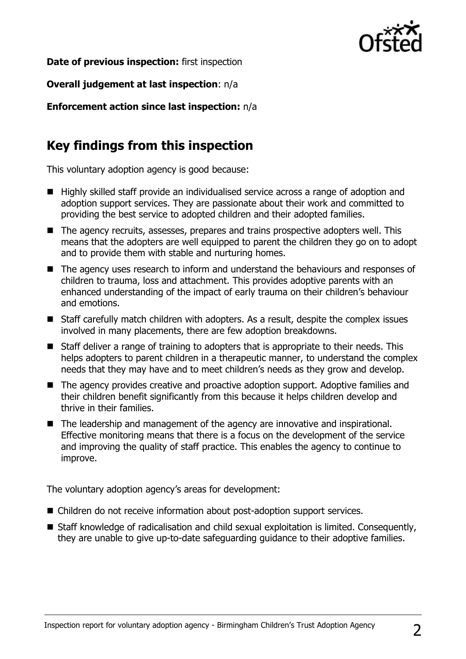

**Date of previous inspection:** first inspection

**Overall judgement at last inspection**: n/a

**Enforcement action since last inspection:** n/a

## **Key findings from this inspection**

This voluntary adoption agency is good because:

- Highly skilled staff provide an individualised service across a range of adoption and adoption support services. They are passionate about their work and committed to providing the best service to adopted children and their adopted families.
- The agency recruits, assesses, prepares and trains prospective adopters well. This means that the adopters are well equipped to parent the children they go on to adopt and to provide them with stable and nurturing homes.
- The agency uses research to inform and understand the behaviours and responses of children to trauma, loss and attachment. This provides adoptive parents with an enhanced understanding of the impact of early trauma on their children's behaviour and emotions.
- Staff carefully match children with adopters. As a result, despite the complex issues involved in many placements, there are few adoption breakdowns.
- Staff deliver a range of training to adopters that is appropriate to their needs. This helps adopters to parent children in a therapeutic manner, to understand the complex needs that they may have and to meet children's needs as they grow and develop.
- The agency provides creative and proactive adoption support. Adoptive families and their children benefit significantly from this because it helps children develop and thrive in their families.
- The leadership and management of the agency are innovative and inspirational. Effective monitoring means that there is a focus on the development of the service and improving the quality of staff practice. This enables the agency to continue to improve.

The voluntary adoption agency's areas for development:

- Children do not receive information about post-adoption support services.
- Staff knowledge of radicalisation and child sexual exploitation is limited. Consequently, they are unable to give up-to-date safeguarding guidance to their adoptive families.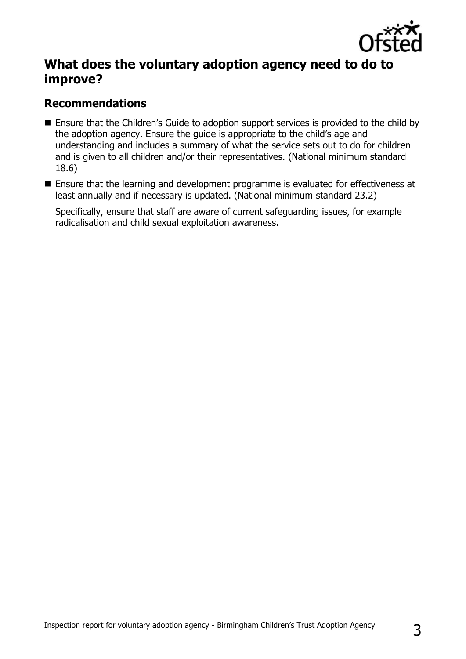

## **What does the voluntary adoption agency need to do to improve?**

### **Recommendations**

- Ensure that the Children's Guide to adoption support services is provided to the child by the adoption agency. Ensure the guide is appropriate to the child's age and understanding and includes a summary of what the service sets out to do for children and is given to all children and/or their representatives. (National minimum standard 18.6)
- Ensure that the learning and development programme is evaluated for effectiveness at least annually and if necessary is updated. (National minimum standard 23.2)

Specifically, ensure that staff are aware of current safeguarding issues, for example radicalisation and child sexual exploitation awareness.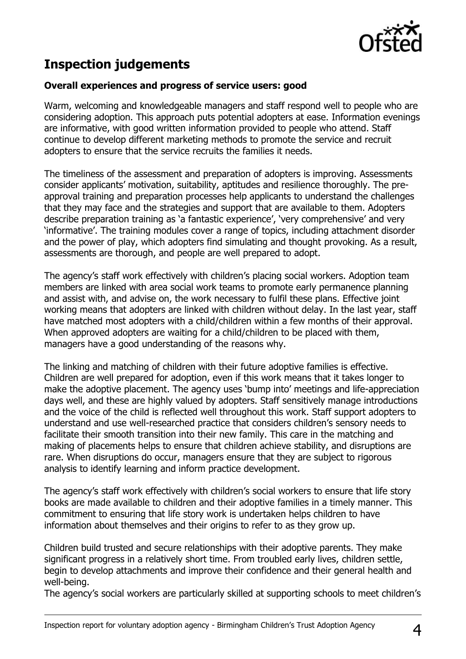

## **Inspection judgements**

#### **Overall experiences and progress of service users: good**

Warm, welcoming and knowledgeable managers and staff respond well to people who are considering adoption. This approach puts potential adopters at ease. Information evenings are informative, with good written information provided to people who attend. Staff continue to develop different marketing methods to promote the service and recruit adopters to ensure that the service recruits the families it needs.

The timeliness of the assessment and preparation of adopters is improving. Assessments consider applicants' motivation, suitability, aptitudes and resilience thoroughly. The preapproval training and preparation processes help applicants to understand the challenges that they may face and the strategies and support that are available to them. Adopters describe preparation training as 'a fantastic experience', 'very comprehensive' and very 'informative'. The training modules cover a range of topics, including attachment disorder and the power of play, which adopters find simulating and thought provoking. As a result, assessments are thorough, and people are well prepared to adopt.

The agency's staff work effectively with children's placing social workers. Adoption team members are linked with area social work teams to promote early permanence planning and assist with, and advise on, the work necessary to fulfil these plans. Effective joint working means that adopters are linked with children without delay. In the last year, staff have matched most adopters with a child/children within a few months of their approval. When approved adopters are waiting for a child/children to be placed with them, managers have a good understanding of the reasons why.

The linking and matching of children with their future adoptive families is effective. Children are well prepared for adoption, even if this work means that it takes longer to make the adoptive placement. The agency uses 'bump into' meetings and life-appreciation days well, and these are highly valued by adopters. Staff sensitively manage introductions and the voice of the child is reflected well throughout this work. Staff support adopters to understand and use well-researched practice that considers children's sensory needs to facilitate their smooth transition into their new family. This care in the matching and making of placements helps to ensure that children achieve stability, and disruptions are rare. When disruptions do occur, managers ensure that they are subject to rigorous analysis to identify learning and inform practice development.

The agency's staff work effectively with children's social workers to ensure that life story books are made available to children and their adoptive families in a timely manner. This commitment to ensuring that life story work is undertaken helps children to have information about themselves and their origins to refer to as they grow up.

Children build trusted and secure relationships with their adoptive parents. They make significant progress in a relatively short time. From troubled early lives, children settle, begin to develop attachments and improve their confidence and their general health and well-being.

The agency's social workers are particularly skilled at supporting schools to meet children's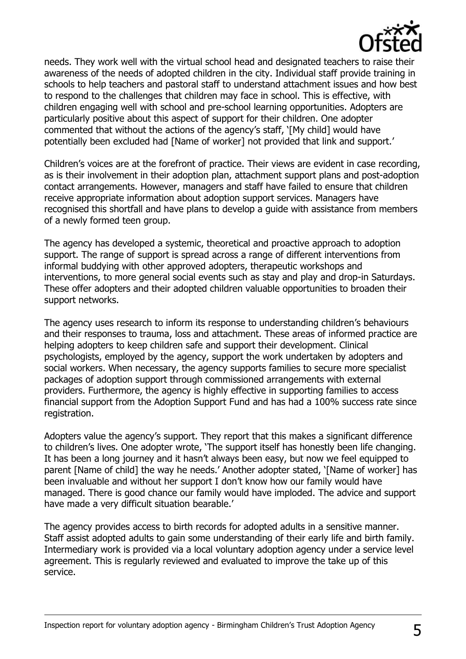

needs. They work well with the virtual school head and designated teachers to raise their awareness of the needs of adopted children in the city. Individual staff provide training in schools to help teachers and pastoral staff to understand attachment issues and how best to respond to the challenges that children may face in school. This is effective, with children engaging well with school and pre-school learning opportunities. Adopters are particularly positive about this aspect of support for their children. One adopter commented that without the actions of the agency's staff, '[My child] would have potentially been excluded had [Name of worker] not provided that link and support.'

Children's voices are at the forefront of practice. Their views are evident in case recording, as is their involvement in their adoption plan, attachment support plans and post-adoption contact arrangements. However, managers and staff have failed to ensure that children receive appropriate information about adoption support services. Managers have recognised this shortfall and have plans to develop a guide with assistance from members of a newly formed teen group.

The agency has developed a systemic, theoretical and proactive approach to adoption support. The range of support is spread across a range of different interventions from informal buddying with other approved adopters, therapeutic workshops and interventions, to more general social events such as stay and play and drop-in Saturdays. These offer adopters and their adopted children valuable opportunities to broaden their support networks.

The agency uses research to inform its response to understanding children's behaviours and their responses to trauma, loss and attachment. These areas of informed practice are helping adopters to keep children safe and support their development. Clinical psychologists, employed by the agency, support the work undertaken by adopters and social workers. When necessary, the agency supports families to secure more specialist packages of adoption support through commissioned arrangements with external providers. Furthermore, the agency is highly effective in supporting families to access financial support from the Adoption Support Fund and has had a 100% success rate since registration.

Adopters value the agency's support. They report that this makes a significant difference to children's lives. One adopter wrote, 'The support itself has honestly been life changing. It has been a long journey and it hasn't always been easy, but now we feel equipped to parent [Name of child] the way he needs.' Another adopter stated, '[Name of worker] has been invaluable and without her support I don't know how our family would have managed. There is good chance our family would have imploded. The advice and support have made a very difficult situation bearable.'

The agency provides access to birth records for adopted adults in a sensitive manner. Staff assist adopted adults to gain some understanding of their early life and birth family. Intermediary work is provided via a local voluntary adoption agency under a service level agreement. This is regularly reviewed and evaluated to improve the take up of this service.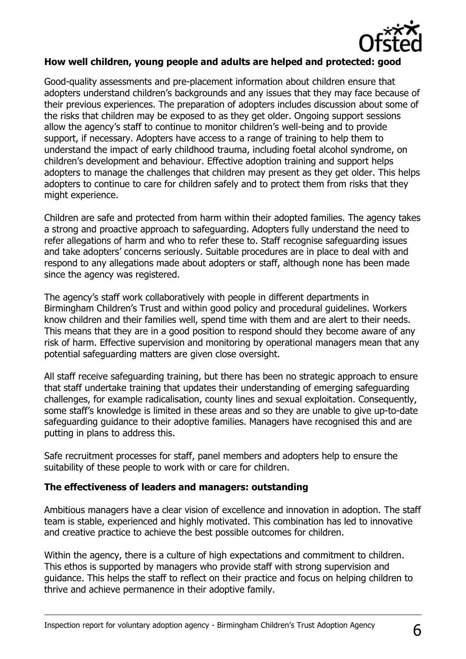

#### **How well children, young people and adults are helped and protected: good**

Good-quality assessments and pre-placement information about children ensure that adopters understand children's backgrounds and any issues that they may face because of their previous experiences. The preparation of adopters includes discussion about some of the risks that children may be exposed to as they get older. Ongoing support sessions allow the agency's staff to continue to monitor children's well-being and to provide support, if necessary. Adopters have access to a range of training to help them to understand the impact of early childhood trauma, including foetal alcohol syndrome, on children's development and behaviour. Effective adoption training and support helps adopters to manage the challenges that children may present as they get older. This helps adopters to continue to care for children safely and to protect them from risks that they might experience.

Children are safe and protected from harm within their adopted families. The agency takes a strong and proactive approach to safeguarding. Adopters fully understand the need to refer allegations of harm and who to refer these to. Staff recognise safeguarding issues and take adopters' concerns seriously. Suitable procedures are in place to deal with and respond to any allegations made about adopters or staff, although none has been made since the agency was registered.

The agency's staff work collaboratively with people in different departments in Birmingham Children's Trust and within good policy and procedural guidelines. Workers know children and their families well, spend time with them and are alert to their needs. This means that they are in a good position to respond should they become aware of any risk of harm. Effective supervision and monitoring by operational managers mean that any potential safeguarding matters are given close oversight.

All staff receive safeguarding training, but there has been no strategic approach to ensure that staff undertake training that updates their understanding of emerging safeguarding challenges, for example radicalisation, county lines and sexual exploitation. Consequently, some staff's knowledge is limited in these areas and so they are unable to give up-to-date safeguarding guidance to their adoptive families. Managers have recognised this and are putting in plans to address this.

Safe recruitment processes for staff, panel members and adopters help to ensure the suitability of these people to work with or care for children.

#### **The effectiveness of leaders and managers: outstanding**

Ambitious managers have a clear vision of excellence and innovation in adoption. The staff team is stable, experienced and highly motivated. This combination has led to innovative and creative practice to achieve the best possible outcomes for children.

Within the agency, there is a culture of high expectations and commitment to children. This ethos is supported by managers who provide staff with strong supervision and guidance. This helps the staff to reflect on their practice and focus on helping children to thrive and achieve permanence in their adoptive family.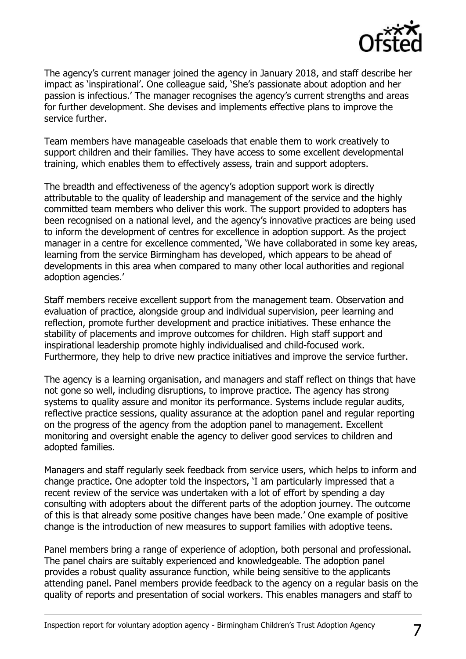

The agency's current manager joined the agency in January 2018, and staff describe her impact as 'inspirational'. One colleague said, 'She's passionate about adoption and her passion is infectious.' The manager recognises the agency's current strengths and areas for further development. She devises and implements effective plans to improve the service further.

Team members have manageable caseloads that enable them to work creatively to support children and their families. They have access to some excellent developmental training, which enables them to effectively assess, train and support adopters.

The breadth and effectiveness of the agency's adoption support work is directly attributable to the quality of leadership and management of the service and the highly committed team members who deliver this work. The support provided to adopters has been recognised on a national level, and the agency's innovative practices are being used to inform the development of centres for excellence in adoption support. As the project manager in a centre for excellence commented, 'We have collaborated in some key areas, learning from the service Birmingham has developed, which appears to be ahead of developments in this area when compared to many other local authorities and regional adoption agencies.'

Staff members receive excellent support from the management team. Observation and evaluation of practice, alongside group and individual supervision, peer learning and reflection, promote further development and practice initiatives. These enhance the stability of placements and improve outcomes for children. High staff support and inspirational leadership promote highly individualised and child-focused work. Furthermore, they help to drive new practice initiatives and improve the service further.

The agency is a learning organisation, and managers and staff reflect on things that have not gone so well, including disruptions, to improve practice. The agency has strong systems to quality assure and monitor its performance. Systems include regular audits, reflective practice sessions, quality assurance at the adoption panel and regular reporting on the progress of the agency from the adoption panel to management. Excellent monitoring and oversight enable the agency to deliver good services to children and adopted families.

Managers and staff regularly seek feedback from service users, which helps to inform and change practice. One adopter told the inspectors, 'I am particularly impressed that a recent review of the service was undertaken with a lot of effort by spending a day consulting with adopters about the different parts of the adoption journey. The outcome of this is that already some positive changes have been made.' One example of positive change is the introduction of new measures to support families with adoptive teens.

Panel members bring a range of experience of adoption, both personal and professional. The panel chairs are suitably experienced and knowledgeable. The adoption panel provides a robust quality assurance function, while being sensitive to the applicants attending panel. Panel members provide feedback to the agency on a regular basis on the quality of reports and presentation of social workers. This enables managers and staff to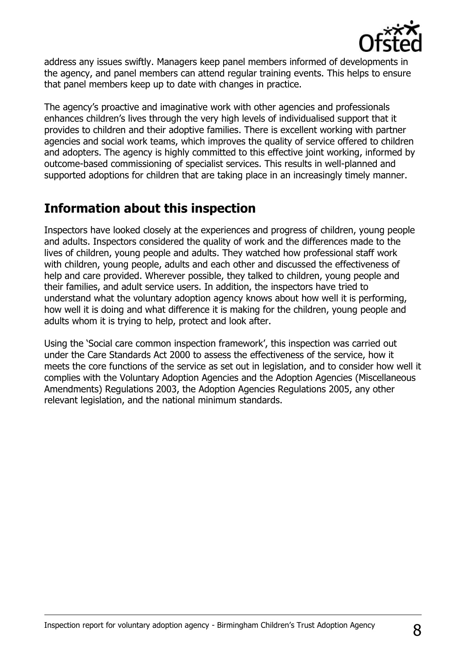

address any issues swiftly. Managers keep panel members informed of developments in the agency, and panel members can attend regular training events. This helps to ensure that panel members keep up to date with changes in practice.

The agency's proactive and imaginative work with other agencies and professionals enhances children's lives through the very high levels of individualised support that it provides to children and their adoptive families. There is excellent working with partner agencies and social work teams, which improves the quality of service offered to children and adopters. The agency is highly committed to this effective joint working, informed by outcome-based commissioning of specialist services. This results in well-planned and supported adoptions for children that are taking place in an increasingly timely manner.

## **Information about this inspection**

Inspectors have looked closely at the experiences and progress of children, young people and adults. Inspectors considered the quality of work and the differences made to the lives of children, young people and adults. They watched how professional staff work with children, young people, adults and each other and discussed the effectiveness of help and care provided. Wherever possible, they talked to children, young people and their families, and adult service users. In addition, the inspectors have tried to understand what the voluntary adoption agency knows about how well it is performing, how well it is doing and what difference it is making for the children, young people and adults whom it is trying to help, protect and look after.

Using the 'Social care common inspection framework', this inspection was carried out under the Care Standards Act 2000 to assess the effectiveness of the service, how it meets the core functions of the service as set out in legislation, and to consider how well it complies with the Voluntary Adoption Agencies and the Adoption Agencies (Miscellaneous Amendments) Regulations 2003, the Adoption Agencies Regulations 2005, any other relevant legislation, and the national minimum standards.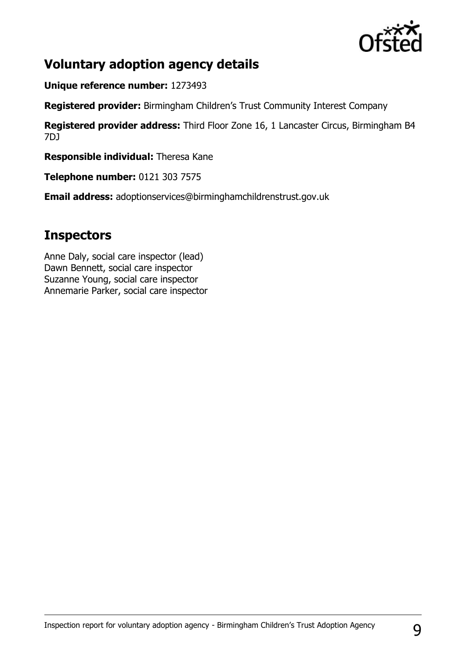

## **Voluntary adoption agency details**

**Unique reference number:** 1273493

**Registered provider:** Birmingham Children's Trust Community Interest Company

**Registered provider address:** Third Floor Zone 16, 1 Lancaster Circus, Birmingham B4 7DJ

**Responsible individual:** Theresa Kane

**Telephone number:** 0121 303 7575

**Email address:** adoptionservices@birminghamchildrenstrust.gov.uk

## **Inspectors**

Anne Daly, social care inspector (lead) Dawn Bennett, social care inspector Suzanne Young, social care inspector Annemarie Parker, social care inspector